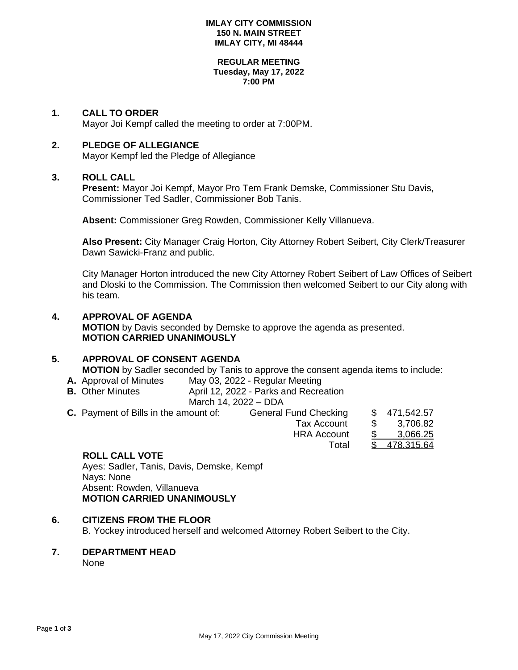#### **IMLAY CITY COMMISSION 150 N. MAIN STREET IMLAY CITY, MI 48444**

#### **REGULAR MEETING Tuesday, May 17, 2022 7:00 PM**

### **1. CALL TO ORDER**

Mayor Joi Kempf called the meeting to order at 7:00PM.

### **2. PLEDGE OF ALLEGIANCE**

Mayor Kempf led the Pledge of Allegiance

### **3. ROLL CALL**

**Present:** Mayor Joi Kempf, Mayor Pro Tem Frank Demske, Commissioner Stu Davis, Commissioner Ted Sadler, Commissioner Bob Tanis.

**Absent:** Commissioner Greg Rowden, Commissioner Kelly Villanueva.

**Also Present:** City Manager Craig Horton, City Attorney Robert Seibert, City Clerk/Treasurer Dawn Sawicki-Franz and public.

City Manager Horton introduced the new City Attorney Robert Seibert of Law Offices of Seibert and Dloski to the Commission. The Commission then welcomed Seibert to our City along with his team.

## **4. APPROVAL OF AGENDA MOTION** by Davis seconded by Demske to approve the agenda as presented. **MOTION CARRIED UNANIMOUSLY**

### **5. APPROVAL OF CONSENT AGENDA**

**MOTION** by Sadler seconded by Tanis to approve the consent agenda items to include:

- **A.** Approval of Minutes May 03, 2022 Regular Meeting<br>**B.** Other Minutes **Manula** April 12, 2022 Parks and Recre
- April 12, 2022 Parks and Recreation March 14, 2022 – DDA

| $1010101117$ , $2022$ $0011$ |                                       |                              |  |              |
|------------------------------|---------------------------------------|------------------------------|--|--------------|
|                              | C. Payment of Bills in the amount of: | <b>General Fund Checking</b> |  | \$471,542.57 |
|                              |                                       | Tax Account                  |  | 3.706.82     |
|                              |                                       | <b>HRA Account</b>           |  | 3,066.25     |
|                              |                                       | Total                        |  | \$478,315.64 |
|                              |                                       |                              |  |              |

### **ROLL CALL VOTE**

Ayes: Sadler, Tanis, Davis, Demske, Kempf Nays: None Absent: Rowden, Villanueva **MOTION CARRIED UNANIMOUSLY**

### **6. CITIZENS FROM THE FLOOR**

B. Yockey introduced herself and welcomed Attorney Robert Seibert to the City.

**7. DEPARTMENT HEAD**

None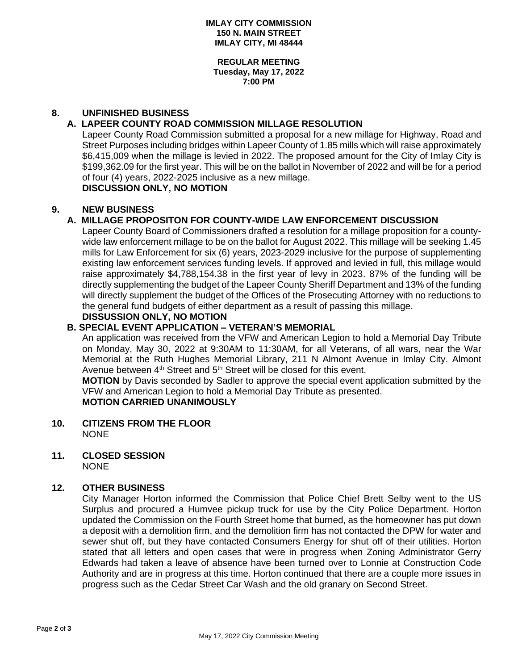**REGULAR MEETING Tuesday, May 17, 2022 7:00 PM**

# **8. UNFINISHED BUSINESS**

## **A. LAPEER COUNTY ROAD COMMISSION MILLAGE RESOLUTION**

Lapeer County Road Commission submitted a proposal for a new millage for Highway, Road and Street Purposes including bridges within Lapeer County of 1.85 mills which will raise approximately \$6,415,009 when the millage is levied in 2022. The proposed amount for the City of Imlay City is \$199,362.09 for the first year. This will be on the ballot in November of 2022 and will be for a period of four (4) years, 2022-2025 inclusive as a new millage.

**DISCUSSION ONLY, NO MOTION**

## **9. NEW BUSINESS**

# **A. MILLAGE PROPOSITON FOR COUNTY-WIDE LAW ENFORCEMENT DISCUSSION**

Lapeer County Board of Commissioners drafted a resolution for a millage proposition for a countywide law enforcement millage to be on the ballot for August 2022. This millage will be seeking 1.45 mills for Law Enforcement for six (6) years, 2023-2029 inclusive for the purpose of supplementing existing law enforcement services funding levels. If approved and levied in full, this millage would raise approximately \$4,788,154.38 in the first year of levy in 2023. 87% of the funding will be directly supplementing the budget of the Lapeer County Sheriff Department and 13% of the funding will directly supplement the budget of the Offices of the Prosecuting Attorney with no reductions to the general fund budgets of either department as a result of passing this millage.

# **DISSUSSION ONLY, NO MOTION**

### **B. SPECIAL EVENT APPLICATION – VETERAN'S MEMORIAL**

An application was received from the VFW and American Legion to hold a Memorial Day Tribute on Monday, May 30, 2022 at 9:30AM to 11:30AM, for all Veterans, of all wars, near the War Memorial at the Ruth Hughes Memorial Library, 211 N Almont Avenue in Imlay City. Almont Avenue between  $4<sup>th</sup>$  Street and  $5<sup>th</sup>$  Street will be closed for this event.

**MOTION** by Davis seconded by Sadler to approve the special event application submitted by the VFW and American Legion to hold a Memorial Day Tribute as presented.

### **MOTION CARRIED UNANIMOUSLY**

- **10. CITIZENS FROM THE FLOOR NONE**
- **11. CLOSED SESSION** NONE

### **12. OTHER BUSINESS**

City Manager Horton informed the Commission that Police Chief Brett Selby went to the US Surplus and procured a Humvee pickup truck for use by the City Police Department. Horton updated the Commission on the Fourth Street home that burned, as the homeowner has put down a deposit with a demolition firm, and the demolition firm has not contacted the DPW for water and sewer shut off, but they have contacted Consumers Energy for shut off of their utilities. Horton stated that all letters and open cases that were in progress when Zoning Administrator Gerry Edwards had taken a leave of absence have been turned over to Lonnie at Construction Code Authority and are in progress at this time. Horton continued that there are a couple more issues in progress such as the Cedar Street Car Wash and the old granary on Second Street.